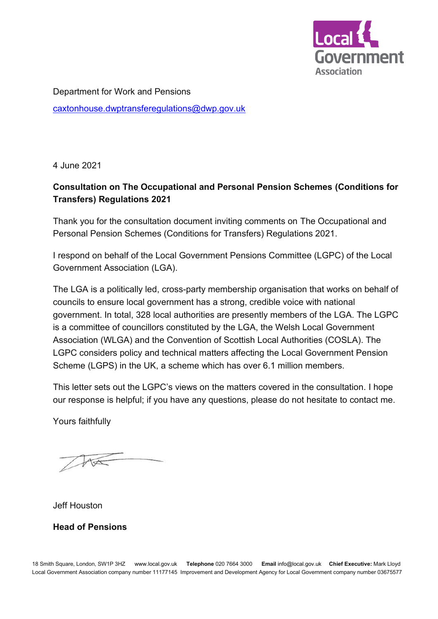

Department for Work and Pensions [caxtonhouse.dwptransferegulations@dwp.gov.uk](mailto:caxtonhouse.dwptransferegulations@dwp.gov.uk)

4 June 2021

# **Consultation on The Occupational and Personal Pension Schemes (Conditions for Transfers) Regulations 2021**

Thank you for the consultation document inviting comments on The Occupational and Personal Pension Schemes (Conditions for Transfers) Regulations 2021.

I respond on behalf of the Local Government Pensions Committee (LGPC) of the Local Government Association (LGA).

The LGA is a politically led, cross-party membership organisation that works on behalf of councils to ensure local government has a strong, credible voice with national government. In total, 328 local authorities are presently members of the LGA. The LGPC is a committee of councillors constituted by the LGA, the Welsh Local Government Association (WLGA) and the Convention of Scottish Local Authorities (COSLA). The LGPC considers policy and technical matters affecting the Local Government Pension Scheme (LGPS) in the UK, a scheme which has over 6.1 million members.

This letter sets out the LGPC's views on the matters covered in the consultation. I hope our response is helpful; if you have any questions, please do not hesitate to contact me.

Yours faithfully

Jeff Houston

**Head of Pensions**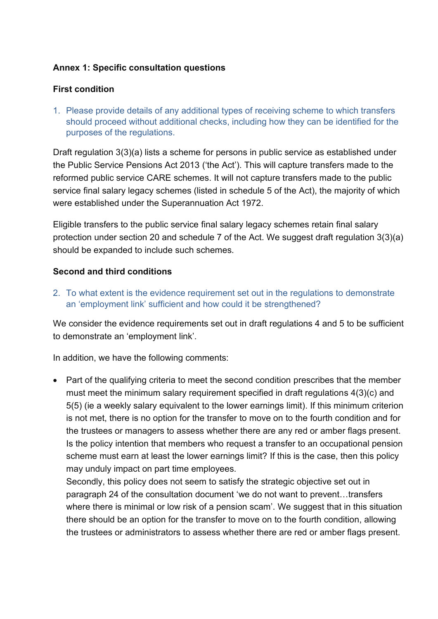#### **Annex 1: Specific consultation questions**

### **First condition**

1. Please provide details of any additional types of receiving scheme to which transfers should proceed without additional checks, including how they can be identified for the purposes of the regulations.

Draft regulation 3(3)(a) lists a scheme for persons in public service as established under the Public Service Pensions Act 2013 ('the Act'). This will capture transfers made to the reformed public service CARE schemes. It will not capture transfers made to the public service final salary legacy schemes (listed in schedule 5 of the Act), the majority of which were established under the Superannuation Act 1972.

Eligible transfers to the public service final salary legacy schemes retain final salary protection under section 20 and schedule 7 of the Act. We suggest draft regulation 3(3)(a) should be expanded to include such schemes.

### **Second and third conditions**

2. To what extent is the evidence requirement set out in the regulations to demonstrate an 'employment link' sufficient and how could it be strengthened?

We consider the evidence requirements set out in draft regulations 4 and 5 to be sufficient to demonstrate an 'employment link'.

In addition, we have the following comments:

• Part of the qualifying criteria to meet the second condition prescribes that the member must meet the minimum salary requirement specified in draft regulations 4(3)(c) and 5(5) (ie a weekly salary equivalent to the lower earnings limit). If this minimum criterion is not met, there is no option for the transfer to move on to the fourth condition and for the trustees or managers to assess whether there are any red or amber flags present. Is the policy intention that members who request a transfer to an occupational pension scheme must earn at least the lower earnings limit? If this is the case, then this policy may unduly impact on part time employees.

Secondly, this policy does not seem to satisfy the strategic objective set out in paragraph 24 of the consultation document 'we do not want to prevent…transfers where there is minimal or low risk of a pension scam'. We suggest that in this situation there should be an option for the transfer to move on to the fourth condition, allowing the trustees or administrators to assess whether there are red or amber flags present.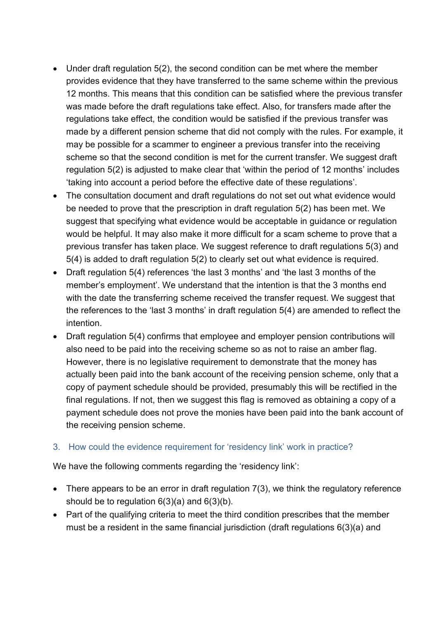- Under draft regulation 5(2), the second condition can be met where the member provides evidence that they have transferred to the same scheme within the previous 12 months. This means that this condition can be satisfied where the previous transfer was made before the draft regulations take effect. Also, for transfers made after the regulations take effect, the condition would be satisfied if the previous transfer was made by a different pension scheme that did not comply with the rules. For example, it may be possible for a scammer to engineer a previous transfer into the receiving scheme so that the second condition is met for the current transfer. We suggest draft regulation 5(2) is adjusted to make clear that 'within the period of 12 months' includes 'taking into account a period before the effective date of these regulations'.
- The consultation document and draft regulations do not set out what evidence would be needed to prove that the prescription in draft regulation 5(2) has been met. We suggest that specifying what evidence would be acceptable in guidance or regulation would be helpful. It may also make it more difficult for a scam scheme to prove that a previous transfer has taken place. We suggest reference to draft regulations 5(3) and 5(4) is added to draft regulation 5(2) to clearly set out what evidence is required.
- Draft regulation 5(4) references 'the last 3 months' and 'the last 3 months of the member's employment'. We understand that the intention is that the 3 months end with the date the transferring scheme received the transfer request. We suggest that the references to the 'last 3 months' in draft regulation 5(4) are amended to reflect the intention.
- Draft regulation 5(4) confirms that employee and employer pension contributions will also need to be paid into the receiving scheme so as not to raise an amber flag. However, there is no legislative requirement to demonstrate that the money has actually been paid into the bank account of the receiving pension scheme, only that a copy of payment schedule should be provided, presumably this will be rectified in the final regulations. If not, then we suggest this flag is removed as obtaining a copy of a payment schedule does not prove the monies have been paid into the bank account of the receiving pension scheme.

### 3. How could the evidence requirement for 'residency link' work in practice?

We have the following comments regarding the 'residency link':

- There appears to be an error in draft regulation 7(3), we think the regulatory reference should be to regulation 6(3)(a) and 6(3)(b).
- Part of the qualifying criteria to meet the third condition prescribes that the member must be a resident in the same financial jurisdiction (draft regulations 6(3)(a) and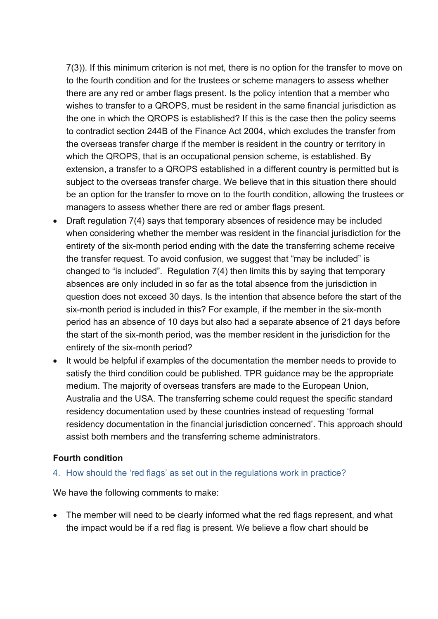7(3)). If this minimum criterion is not met, there is no option for the transfer to move on to the fourth condition and for the trustees or scheme managers to assess whether there are any red or amber flags present. Is the policy intention that a member who wishes to transfer to a QROPS, must be resident in the same financial jurisdiction as the one in which the QROPS is established? If this is the case then the policy seems to contradict section 244B of the Finance Act 2004, which excludes the transfer from the overseas transfer charge if the member is resident in the country or territory in which the QROPS, that is an occupational pension scheme, is established. By extension, a transfer to a QROPS established in a different country is permitted but is subject to the overseas transfer charge. We believe that in this situation there should be an option for the transfer to move on to the fourth condition, allowing the trustees or managers to assess whether there are red or amber flags present.

- Draft regulation 7(4) says that temporary absences of residence may be included when considering whether the member was resident in the financial jurisdiction for the entirety of the six-month period ending with the date the transferring scheme receive the transfer request. To avoid confusion, we suggest that "may be included" is changed to "is included". Regulation 7(4) then limits this by saying that temporary absences are only included in so far as the total absence from the jurisdiction in question does not exceed 30 days. Is the intention that absence before the start of the six-month period is included in this? For example, if the member in the six-month period has an absence of 10 days but also had a separate absence of 21 days before the start of the six-month period, was the member resident in the jurisdiction for the entirety of the six-month period?
- It would be helpful if examples of the documentation the member needs to provide to satisfy the third condition could be published. TPR guidance may be the appropriate medium. The majority of overseas transfers are made to the European Union, Australia and the USA. The transferring scheme could request the specific standard residency documentation used by these countries instead of requesting 'formal residency documentation in the financial jurisdiction concerned'. This approach should assist both members and the transferring scheme administrators.

### **Fourth condition**

#### 4. How should the 'red flags' as set out in the regulations work in practice?

We have the following comments to make:

• The member will need to be clearly informed what the red flags represent, and what the impact would be if a red flag is present. We believe a flow chart should be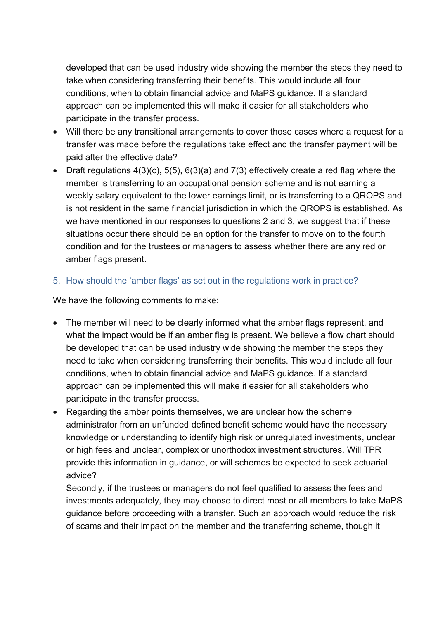developed that can be used industry wide showing the member the steps they need to take when considering transferring their benefits. This would include all four conditions, when to obtain financial advice and MaPS guidance. If a standard approach can be implemented this will make it easier for all stakeholders who participate in the transfer process.

- Will there be any transitional arrangements to cover those cases where a request for a transfer was made before the regulations take effect and the transfer payment will be paid after the effective date?
- Draft regulations  $4(3)(c)$ ,  $5(5)$ ,  $6(3)(a)$  and  $7(3)$  effectively create a red flag where the member is transferring to an occupational pension scheme and is not earning a weekly salary equivalent to the lower earnings limit, or is transferring to a QROPS and is not resident in the same financial jurisdiction in which the QROPS is established. As we have mentioned in our responses to questions 2 and 3, we suggest that if these situations occur there should be an option for the transfer to move on to the fourth condition and for the trustees or managers to assess whether there are any red or amber flags present.

## 5. How should the 'amber flags' as set out in the regulations work in practice?

We have the following comments to make:

- The member will need to be clearly informed what the amber flags represent, and what the impact would be if an amber flag is present. We believe a flow chart should be developed that can be used industry wide showing the member the steps they need to take when considering transferring their benefits. This would include all four conditions, when to obtain financial advice and MaPS guidance. If a standard approach can be implemented this will make it easier for all stakeholders who participate in the transfer process.
- Regarding the amber points themselves, we are unclear how the scheme administrator from an unfunded defined benefit scheme would have the necessary knowledge or understanding to identify high risk or unregulated investments, unclear or high fees and unclear, complex or unorthodox investment structures. Will TPR provide this information in guidance, or will schemes be expected to seek actuarial advice?

Secondly, if the trustees or managers do not feel qualified to assess the fees and investments adequately, they may choose to direct most or all members to take MaPS guidance before proceeding with a transfer. Such an approach would reduce the risk of scams and their impact on the member and the transferring scheme, though it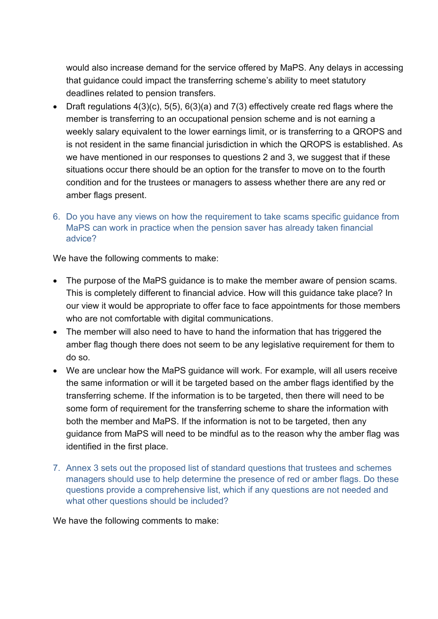would also increase demand for the service offered by MaPS. Any delays in accessing that guidance could impact the transferring scheme's ability to meet statutory deadlines related to pension transfers.

- Draft regulations  $4(3)(c)$ ,  $5(5)$ ,  $6(3)(a)$  and  $7(3)$  effectively create red flags where the member is transferring to an occupational pension scheme and is not earning a weekly salary equivalent to the lower earnings limit, or is transferring to a QROPS and is not resident in the same financial jurisdiction in which the QROPS is established. As we have mentioned in our responses to questions 2 and 3, we suggest that if these situations occur there should be an option for the transfer to move on to the fourth condition and for the trustees or managers to assess whether there are any red or amber flags present.
- 6. Do you have any views on how the requirement to take scams specific guidance from MaPS can work in practice when the pension saver has already taken financial advice?

We have the following comments to make:

- The purpose of the MaPS guidance is to make the member aware of pension scams. This is completely different to financial advice. How will this guidance take place? In our view it would be appropriate to offer face to face appointments for those members who are not comfortable with digital communications.
- The member will also need to have to hand the information that has triggered the amber flag though there does not seem to be any legislative requirement for them to do so.
- We are unclear how the MaPS guidance will work. For example, will all users receive the same information or will it be targeted based on the amber flags identified by the transferring scheme. If the information is to be targeted, then there will need to be some form of requirement for the transferring scheme to share the information with both the member and MaPS. If the information is not to be targeted, then any guidance from MaPS will need to be mindful as to the reason why the amber flag was identified in the first place.
- 7. Annex 3 sets out the proposed list of standard questions that trustees and schemes managers should use to help determine the presence of red or amber flags. Do these questions provide a comprehensive list, which if any questions are not needed and what other questions should be included?

We have the following comments to make: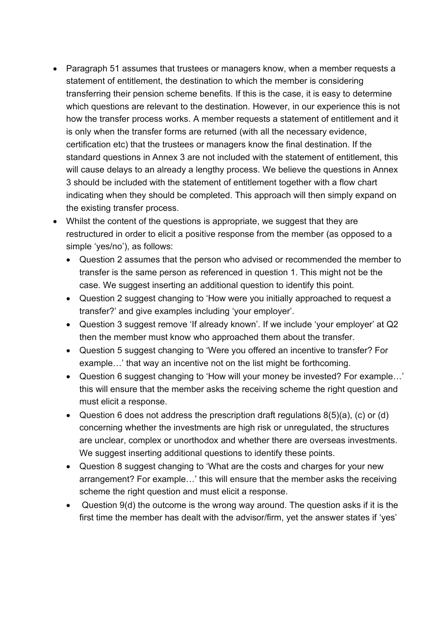- Paragraph 51 assumes that trustees or managers know, when a member requests a statement of entitlement, the destination to which the member is considering transferring their pension scheme benefits. If this is the case, it is easy to determine which questions are relevant to the destination. However, in our experience this is not how the transfer process works. A member requests a statement of entitlement and it is only when the transfer forms are returned (with all the necessary evidence, certification etc) that the trustees or managers know the final destination. If the standard questions in Annex 3 are not included with the statement of entitlement, this will cause delays to an already a lengthy process. We believe the questions in Annex 3 should be included with the statement of entitlement together with a flow chart indicating when they should be completed. This approach will then simply expand on the existing transfer process.
- Whilst the content of the questions is appropriate, we suggest that they are restructured in order to elicit a positive response from the member (as opposed to a simple 'yes/no'), as follows:
	- Question 2 assumes that the person who advised or recommended the member to transfer is the same person as referenced in question 1. This might not be the case. We suggest inserting an additional question to identify this point.
	- Question 2 suggest changing to 'How were you initially approached to request a transfer?' and give examples including 'your employer'.
	- Question 3 suggest remove 'If already known'. If we include 'your employer' at Q2 then the member must know who approached them about the transfer.
	- Question 5 suggest changing to 'Were you offered an incentive to transfer? For example…' that way an incentive not on the list might be forthcoming.
	- Question 6 suggest changing to 'How will your money be invested? For example...' this will ensure that the member asks the receiving scheme the right question and must elicit a response.
	- Question 6 does not address the prescription draft regulations  $8(5)(a)$ , (c) or (d) concerning whether the investments are high risk or unregulated, the structures are unclear, complex or unorthodox and whether there are overseas investments. We suggest inserting additional questions to identify these points.
	- Question 8 suggest changing to 'What are the costs and charges for your new arrangement? For example…' this will ensure that the member asks the receiving scheme the right question and must elicit a response.
	- Question 9(d) the outcome is the wrong way around. The question asks if it is the first time the member has dealt with the advisor/firm, yet the answer states if 'yes'